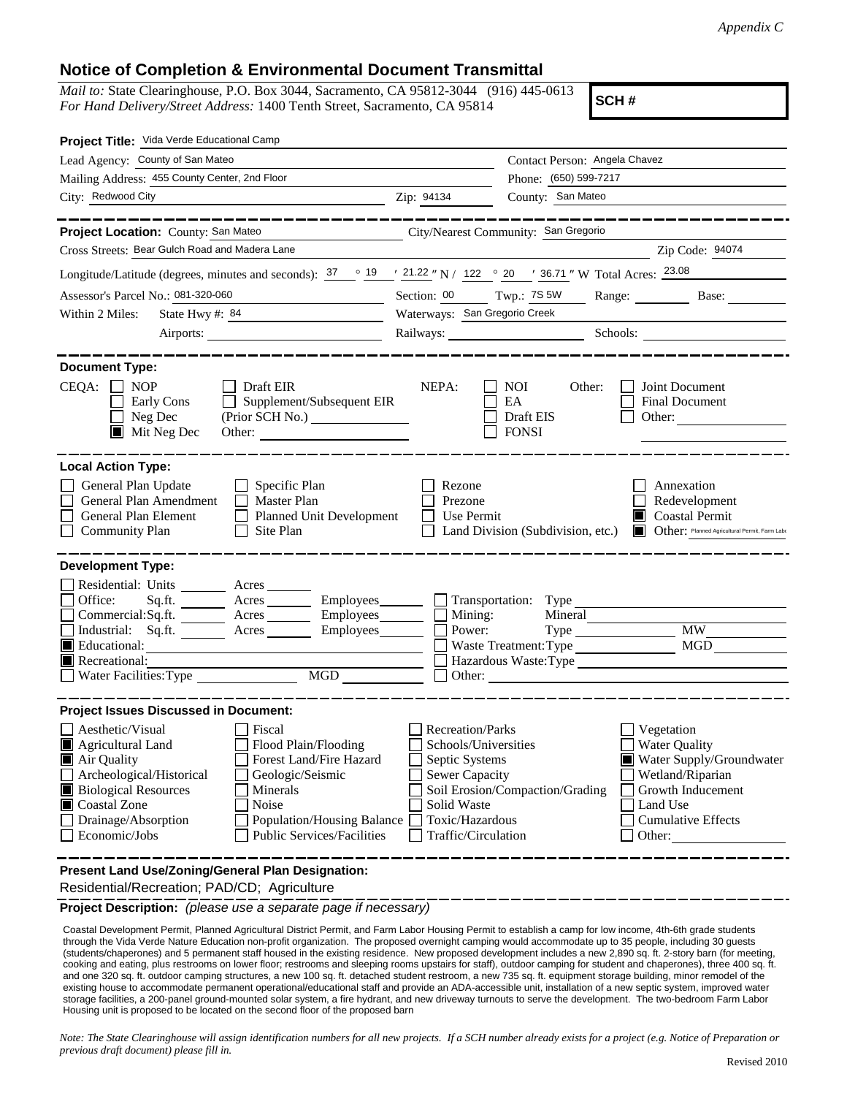## **Notice of Completion & Environmental Document Transmittal**

*Mail to:* State Clearinghouse, P.O. Box 3044, Sacramento, CA 95812-3044 (916) 445-0613 *For Hand Delivery/Street Address:* 1400 Tenth Street, Sacramento, CA 95814

**SCH #**

| Project Title: Vida Verde Educational Camp                                                                                                                                                                                                                                                                                                                      |                                                                                                                                              |                                                         |                                                                                                                                                            |
|-----------------------------------------------------------------------------------------------------------------------------------------------------------------------------------------------------------------------------------------------------------------------------------------------------------------------------------------------------------------|----------------------------------------------------------------------------------------------------------------------------------------------|---------------------------------------------------------|------------------------------------------------------------------------------------------------------------------------------------------------------------|
| Lead Agency: County of San Mateo                                                                                                                                                                                                                                                                                                                                |                                                                                                                                              | Contact Person: Angela Chavez                           |                                                                                                                                                            |
| Mailing Address: 455 County Center, 2nd Floor                                                                                                                                                                                                                                                                                                                   |                                                                                                                                              | Phone: (650) 599-7217                                   |                                                                                                                                                            |
| City: Redwood City<br><u> 1989 - Johann Barbara, martin amerikan ba</u>                                                                                                                                                                                                                                                                                         | Zip: 94134                                                                                                                                   | County: San Mateo                                       |                                                                                                                                                            |
|                                                                                                                                                                                                                                                                                                                                                                 |                                                                                                                                              |                                                         |                                                                                                                                                            |
| Project Location: County: San Mateo<br>City/Nearest Community: San Gregorio<br>Cross Streets: Bear Gulch Road and Madera Lane                                                                                                                                                                                                                                   |                                                                                                                                              |                                                         | Zip Code: 94074                                                                                                                                            |
|                                                                                                                                                                                                                                                                                                                                                                 |                                                                                                                                              |                                                         |                                                                                                                                                            |
| Longitude/Latitude (degrees, minutes and seconds): $\frac{37}{19}$ $\frac{19}{1222}$ N / 122 $\degree$ 20 $\degree$ 136.71 " W Total Acres: $\frac{23.08}{123.08}$                                                                                                                                                                                              |                                                                                                                                              |                                                         |                                                                                                                                                            |
| Assessor's Parcel No.: 081-320-060                                                                                                                                                                                                                                                                                                                              | Section: 00 Twp.: 7S 5W                                                                                                                      |                                                         | Range: Base:                                                                                                                                               |
| Within 2 Miles:<br>State Hwy #: 84                                                                                                                                                                                                                                                                                                                              |                                                                                                                                              | Waterways: San Gregorio Creek                           |                                                                                                                                                            |
| Airports:                                                                                                                                                                                                                                                                                                                                                       |                                                                                                                                              | Railways: Schools: Schools:                             |                                                                                                                                                            |
| <b>Document Type:</b>                                                                                                                                                                                                                                                                                                                                           |                                                                                                                                              |                                                         |                                                                                                                                                            |
| $CEQA: \Box NP$<br>$\Box$ Draft EIR<br>Supplement/Subsequent EIR<br>Early Cons<br>$\Box$<br>Neg Dec<br>$\blacksquare$ Mit Neg Dec                                                                                                                                                                                                                               | NEPA:                                                                                                                                        | <b>NOI</b><br>Other:<br>EA<br>Draft EIS<br><b>FONSI</b> | Joint Document<br>Final Document<br>Other: $\qquad \qquad$                                                                                                 |
| <b>Local Action Type:</b><br>General Plan Update<br>Specific Plan<br>General Plan Amendment<br>Master Plan<br>General Plan Element<br>Planned Unit Development<br><b>Community Plan</b><br>Site Plan                                                                                                                                                            | Rezone<br>Prezone<br>Use Permit                                                                                                              | Land Division (Subdivision, etc.)                       | Annexation<br>Redevelopment<br>Coastal Permit<br>Other: Planned Agricultural Permit, Farm Labo                                                             |
| <b>Development Type:</b>                                                                                                                                                                                                                                                                                                                                        |                                                                                                                                              |                                                         |                                                                                                                                                            |
| Residential: Units ________ Acres _______<br>Office:<br>$Sq.ft.$ Acres $\qquad \qquad$ Employees $\qquad \qquad$ Transportation: Type<br>Commercial:Sq.ft. ________ Acres __________ Employees_________ $\Box$<br>Industrial: Sq.ft. _______ Acres ________ Employees________ $\square$<br>Educational:<br>IП<br>Recreational:<br>MGD<br>Water Facilities: Type | Mining:<br>Power:                                                                                                                            | Waste Treatment: Type                                   | $Type$ $MW$<br>Hazardous Waste:Type<br>Other:                                                                                                              |
| <b>Project Issues Discussed in Document:</b>                                                                                                                                                                                                                                                                                                                    |                                                                                                                                              |                                                         |                                                                                                                                                            |
| Aesthetic/Visual<br>Fiscal<br>Agricultural Land<br>Flood Plain/Flooding<br>Forest Land/Fire Hazard<br>Air Quality<br>Archeological/Historical<br>Geologic/Seismic<br><b>Biological Resources</b><br>Minerals<br>Coastal Zone<br>Noise<br>Drainage/Absorption<br>Population/Housing Balance<br>Economic/Jobs<br><b>Public Services/Facilities</b>                | <b>Recreation/Parks</b><br>Schools/Universities<br>Septic Systems<br>Sewer Capacity<br>Solid Waste<br>Toxic/Hazardous<br>Traffic/Circulation | Soil Erosion/Compaction/Grading                         | Vegetation<br><b>Water Quality</b><br>Water Supply/Groundwater<br>Wetland/Riparian<br>Growth Inducement<br>Land Use<br><b>Cumulative Effects</b><br>Other: |
| Present Land Use/Zoning/General Plan Designation:<br>Residential/Recreation; PAD/CD; Agriculture                                                                                                                                                                                                                                                                |                                                                                                                                              |                                                         |                                                                                                                                                            |

**Project Description:** *(please use a separate page if necessary)*

 Coastal Development Permit, Planned Agricultural District Permit, and Farm Labor Housing Permit to establish a camp for low income, 4th-6th grade students through the Vida Verde Nature Education non-profit organization. The proposed overnight camping would accommodate up to 35 people, including 30 guests (students/chaperones) and 5 permanent staff housed in the existing residence. New proposed development includes a new 2,890 sq. ft. 2-story barn (for meeting, cooking and eating, plus restrooms on lower floor; restrooms and sleeping rooms upstairs for staff), outdoor camping for student and chaperones), three 400 sq. ft. and one 320 sq. ft. outdoor camping structures, a new 100 sq. ft. detached student restroom, a new 735 sq. ft. equipment storage building, minor remodel of the existing house to accommodate permanent operational/educational staff and provide an ADA-accessible unit, installation of a new septic system, improved water storage facilities, a 200-panel ground-mounted solar system, a fire hydrant, and new driveway turnouts to serve the development. The two-bedroom Farm Labor Housing unit is proposed to be located on the second floor of the proposed barn

*Note: The State Clearinghouse will assign identification numbers for all new projects. If a SCH number already exists for a project (e.g. Notice of Preparation or previous draft document) please fill in.*